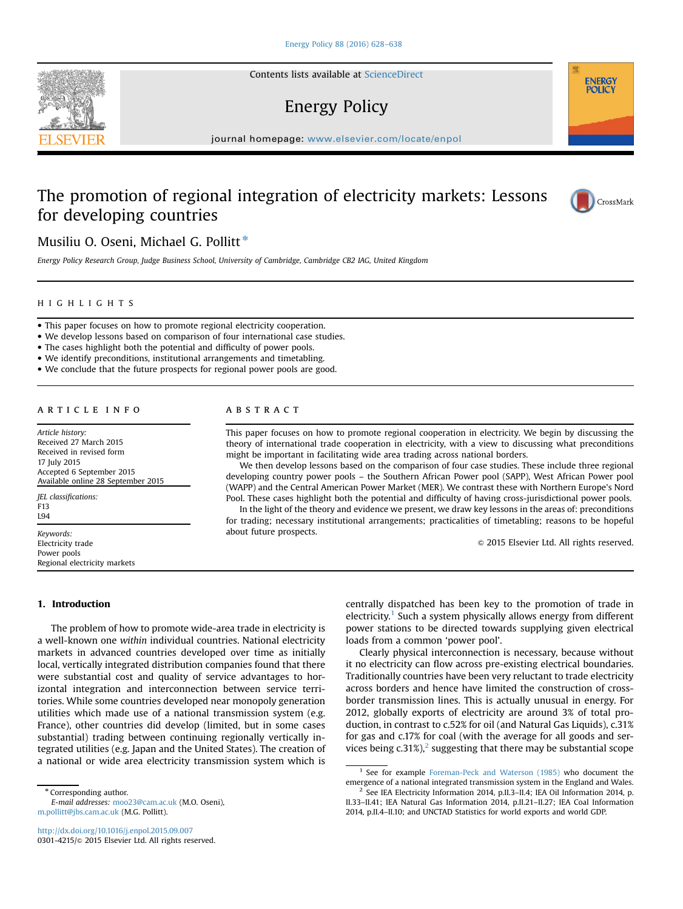Contents lists available at ScienceDirect

# Energy Policy

journal homepage: <www.elsevier.com/locate/enpol>e  $\mathcal{N}$ 

# The promotion of regional integration of electricity markets: Lessons for developing countries



**ENERGY POLICY** 

Musiliu O. Oseni, Michael G. Pollitt<sup>\*</sup>

Energy Policy Research Group, Judge Business School, University of Cambridge, Cambridge CB2 IAG, United Kingdom

### HIGHLIGHTS

- This paper focuses on how to promote regional electricity cooperation.
- We develop lessons based on comparison of four international case studies.
- The cases highlight both the potential and difficulty of power pools.
- We identify preconditions, institutional arrangements and timetabling.
- We conclude that the future prospects for regional power pools are good.

### article info

Article history: Received 27 March 2015 Received in revised form 17 July 2015 Accepted 6 September 2015 Available online 28 September 2015

JEL classifications: F13 L94

Keywords: Electricity trade Power pools Regional electricity markets

#### 1. Introduction

The problem of how to promote wide-area trade in electricity is a well-known one within individual countries. National electricity markets in advanced countries developed over time as initially local, vertically integrated distribution companies found that there were substantial cost and quality of service advantages to horizontal integration and interconnection between service territories. While some countries developed near monopoly generation utilities which made use of a national transmission system (e.g. France), other countries did develop (limited, but in some cases substantial) trading between continuing regionally vertically integrated utilities (e.g. Japan and the United States). The creation of a national or wide area electricity transmission system which is

E-mail addresses: [moo23@cam.ac.uk](mailto:moo23@cam.ac.uk) (M.O. Oseni), [m.pollitt@jbs.cam.ac.uk](mailto:m.pollitt@jbs.cam.ac.uk) (M.G. Pollitt).

<http://dx.doi.org/10.1016/j.enpol.2015.09.007> 0301-4215/@ 2015 Elsevier Ltd. All rights reserved.

#### **ABSTRACT**

This paper focuses on how to promote regional cooperation in electricity. We begin by discussing the theory of international trade cooperation in electricity, with a view to discussing what preconditions might be important in facilitating wide area trading across national borders.

We then develop lessons based on the comparison of four case studies. These include three regional developing country power pools – the Southern African Power pool (SAPP), West African Power pool (WAPP) and the Central American Power Market (MER). We contrast these with Northern Europe's Nord Pool. These cases highlight both the potential and difficulty of having cross-jurisdictional power pools.

In the light of the theory and evidence we present, we draw key lessons in the areas of: preconditions for trading; necessary institutional arrangements; practicalities of timetabling; reasons to be hopeful about future prospects.

 $©$  2015 Elsevier Ltd. All rights reserved.

centrally dispatched has been key to the promotion of trade in electricity.<sup>1</sup> Such a system physically allows energy from different power stations to be directed towards supplying given electrical loads from a common 'power pool'.

Clearly physical interconnection is necessary, because without it no electricity can flow across pre-existing electrical boundaries. Traditionally countries have been very reluctant to trade electricity across borders and hence have limited the construction of crossborder transmission lines. This is actually unusual in energy. For 2012, globally exports of electricity are around 3% of total production, in contrast to c.52% for oil (and Natural Gas Liquids), c.31% for gas and c.17% for coal (with the average for all goods and services being  $c.31\%)^2$  suggesting that there may be substantial scope



<sup>\*</sup> Corresponding author.

<sup>&</sup>lt;sup>1</sup> See for example Foreman-Peck and Waterson (1985) who document the emergence of a national integrated transmission system in the England and Wales.

<sup>&</sup>lt;sup>2</sup> See IEA Electricity Information 2014, p.II.3-II.4; IEA Oil Information 2014, p. II.33–II.41; IEA Natural Gas Information 2014, p.II.21–II.27; IEA Coal Information 2014, p.II.4–II.10; and UNCTAD Statistics for world exports and world GDP.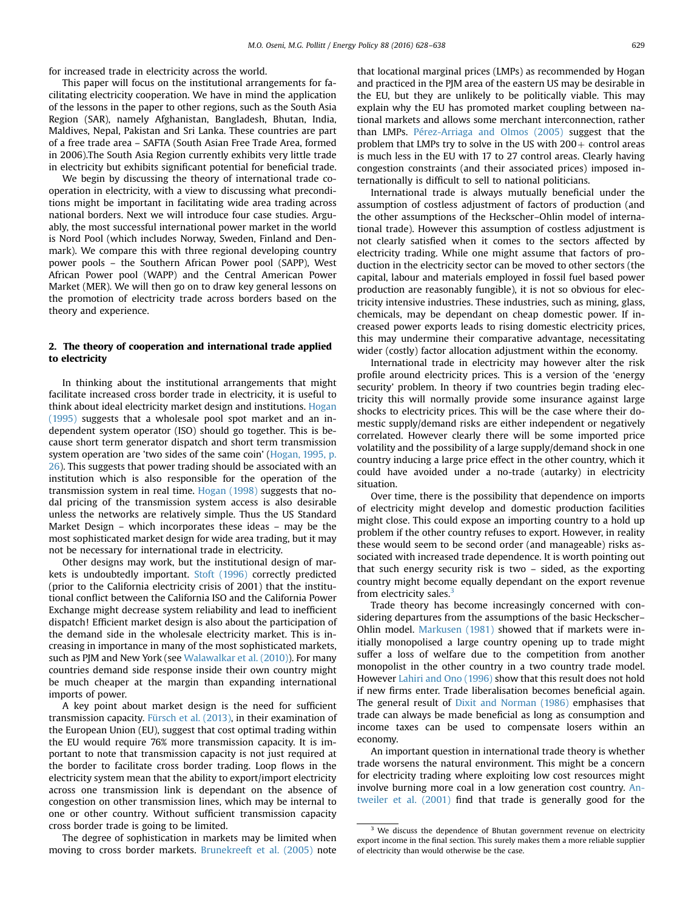for increased trade in electricity across the world.

This paper will focus on the institutional arrangements for facilitating electricity cooperation. We have in mind the application of the lessons in the paper to other regions, such as the South Asia Region (SAR), namely Afghanistan, Bangladesh, Bhutan, India, Maldives, Nepal, Pakistan and Sri Lanka. These countries are part of a free trade area – SAFTA (South Asian Free Trade Area, formed in 2006).The South Asia Region currently exhibits very little trade in electricity but exhibits significant potential for beneficial trade.

We begin by discussing the theory of international trade cooperation in electricity, with a view to discussing what preconditions might be important in facilitating wide area trading across national borders. Next we will introduce four case studies. Arguably, the most successful international power market in the world is Nord Pool (which includes Norway, Sweden, Finland and Denmark). We compare this with three regional developing country power pools – the Southern African Power pool (SAPP), West African Power pool (WAPP) and the Central American Power Market (MER). We will then go on to draw key general lessons on the promotion of electricity trade across borders based on the theory and experience.

## 2. The theory of cooperation and international trade applied to electricity

In thinking about the institutional arrangements that might facilitate increased cross border trade in electricity, it is useful to think about ideal electricity market design and institutions. Hogan (1995) suggests that a wholesale pool spot market and an independent system operator (ISO) should go together. This is because short term generator dispatch and short term transmission system operation are 'two sides of the same coin' (Hogan, 1995, p. 26). This suggests that power trading should be associated with an institution which is also responsible for the operation of the transmission system in real time. Hogan (1998) suggests that nodal pricing of the transmission system access is also desirable unless the networks are relatively simple. Thus the US Standard Market Design – which incorporates these ideas – may be the most sophisticated market design for wide area trading, but it may not be necessary for international trade in electricity.

Other designs may work, but the institutional design of markets is undoubtedly important. Stoft (1996) correctly predicted (prior to the California electricity crisis of 2001) that the institutional conflict between the California ISO and the California Power Exchange might decrease system reliability and lead to inefficient dispatch! Efficient market design is also about the participation of the demand side in the wholesale electricity market. This is increasing in importance in many of the most sophisticated markets, such as PJM and New York (see Walawalkar et al. (2010)). For many countries demand side response inside their own country might be much cheaper at the margin than expanding international imports of power.

A key point about market design is the need for sufficient transmission capacity. Fürsch et al. (2013), in their examination of the European Union (EU), suggest that cost optimal trading within the EU would require 76% more transmission capacity. It is important to note that transmission capacity is not just required at the border to facilitate cross border trading. Loop flows in the electricity system mean that the ability to export/import electricity across one transmission link is dependant on the absence of congestion on other transmission lines, which may be internal to one or other country. Without sufficient transmission capacity cross border trade is going to be limited.

The degree of sophistication in markets may be limited when moving to cross border markets. Brunekreeft et al. (2005) note that locational marginal prices (LMPs) as recommended by Hogan and practiced in the PJM area of the eastern US may be desirable in the EU, but they are unlikely to be politically viable. This may explain why the EU has promoted market coupling between national markets and allows some merchant interconnection, rather than LMPs. Pérez-Arriaga and Olmos (2005) suggest that the problem that LMPs try to solve in the US with  $200+$  control areas is much less in the EU with 17 to 27 control areas. Clearly having congestion constraints (and their associated prices) imposed internationally is difficult to sell to national politicians.

International trade is always mutually beneficial under the assumption of costless adjustment of factors of production (and the other assumptions of the Heckscher–Ohlin model of international trade). However this assumption of costless adjustment is not clearly satisfied when it comes to the sectors affected by electricity trading. While one might assume that factors of production in the electricity sector can be moved to other sectors (the capital, labour and materials employed in fossil fuel based power production are reasonably fungible), it is not so obvious for electricity intensive industries. These industries, such as mining, glass, chemicals, may be dependant on cheap domestic power. If increased power exports leads to rising domestic electricity prices, this may undermine their comparative advantage, necessitating wider (costly) factor allocation adjustment within the economy.

International trade in electricity may however alter the risk profile around electricity prices. This is a version of the 'energy security' problem. In theory if two countries begin trading electricity this will normally provide some insurance against large shocks to electricity prices. This will be the case where their domestic supply/demand risks are either independent or negatively correlated. However clearly there will be some imported price volatility and the possibility of a large supply/demand shock in one country inducing a large price effect in the other country, which it could have avoided under a no-trade (autarky) in electricity situation.

Over time, there is the possibility that dependence on imports of electricity might develop and domestic production facilities might close. This could expose an importing country to a hold up problem if the other country refuses to export. However, in reality these would seem to be second order (and manageable) risks associated with increased trade dependence. It is worth pointing out that such energy security risk is two – sided, as the exporting country might become equally dependant on the export revenue from electricity sales. $3$ 

Trade theory has become increasingly concerned with considering departures from the assumptions of the basic Heckscher– Ohlin model. Markusen (1981) showed that if markets were initially monopolised a large country opening up to trade might suffer a loss of welfare due to the competition from another monopolist in the other country in a two country trade model. However Lahiri and Ono (1996) show that this result does not hold if new firms enter. Trade liberalisation becomes beneficial again. The general result of Dixit and Norman (1986) emphasises that trade can always be made beneficial as long as consumption and income taxes can be used to compensate losers within an economy.

An important question in international trade theory is whether trade worsens the natural environment. This might be a concern for electricity trading where exploiting low cost resources might involve burning more coal in a low generation cost country. Antweiler et al. (2001) find that trade is generally good for the

 $3$  We discuss the dependence of Bhutan government revenue on electricity export income in the final section. This surely makes them a more reliable supplier of electricity than would otherwise be the case.